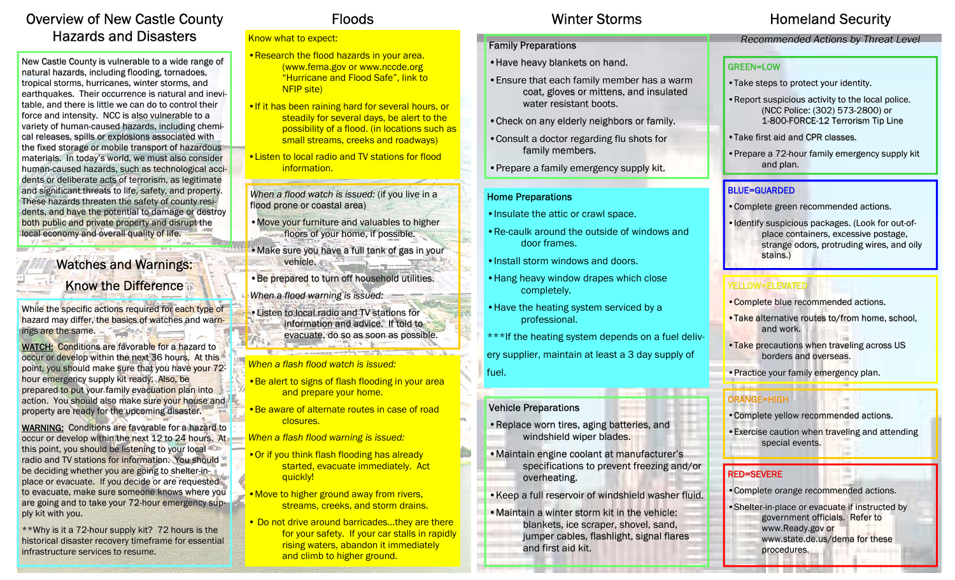### Overview of New Castle County Hazards and Disasters

New Castle County is vulnerable to a wide range of natural hazards, including flooding, tornadoes, tropical storms, hurricanes, winter storms, and earthquakes. Their occurrence is natural and inevitable, and there is little we can do to control their force and intensity. NCC is also vulnerable to a variety of human-caused hazards, including chemical releases, spills or explosions associated with the fixed storage or mobile transport of hazardous materials. In today's world, we must also consider human-caused hazards, such as technological accidents or deliberate acts of terrorism, as legitimate and significant threats to life, safety, and property. These hazards threaten the safety of county residents, and have the potential to damage or destroy both public and private property and disrupt the local economy and overall quality of life.

> Watches and Warnings: Know the Difference

**BOY J. L. Sengart** 

While the specific actions required for each type of hazard may differ, the basics of watches and warnings are the same.  $-$ 

WATCH: Conditions are favorable for a hazard to occur or develop within the next 36 hours. At this point, you should make sure that you have your 72hour emergency supply kit ready. Also, be prepared to put your family evacuation plan into action. You should also make sure your house and property are ready for the upcoming disaster.

WARNING: Conditions are favorable for a hazard to occur or develop within the next 12 to 24 hours. At this point, you should be listening to your local radio and TV stations for information. You should be deciding whether you are going to shelter-inplace or evacuate. If you decide or are requested to evacuate, make sure someone knows where you are going and to take your 72-hour emergency supply kit with you.

 $**$ Why is it a 72-hour supply kit? 72 hours is the historical disaster recovery timeframe for essential infrastructure services to resume.

#### Know what to expect:

- •Research the flood hazards in your area. (www.fema.gov or www.nccde.org "Hurricane and Flood Safe", link to NFIP site)
- If it has been raining hard for several hours, or steadily for several days, be alert to the possibility of a flood. (in locations such as small streams, creeks and roadways)
- •Listen to local radio and TV stations for flood information.

*When a flood watch is issued: (if you live in a* flood prone or coastal area)

- Move your furniture and valuables to higher floors of your home, if possible.
- Make sure you have a full tank of gas in your vehicle.
- Be prepared to turn off household utilities.
- *When a flood warning is issued:*
- •Listen to local radio and TV stations for information and advice. If told to evacuate, do so as soon as possible.

*When a flash flood watch is issued:* 

- *•*Be alert to signs of flash flooding in your area and prepare your home.
- •Be aware of alternate routes in case of road closures.
- *When a flash flood warning is issued:*
- •Or if you think flash flooding has already started, evacuate immediately. Act auickly!
- Move to higher ground away from rivers, streams, creeks, and storm drains.
- Do not drive around barricades...they are there for your safety. If your car stalls in rapidly rising waters, abandon it immediately and climb to higher ground.

### Winter Storms

### Family Preparations

- Have heavy blankets on hand.
- Ensure that each family member has a warm coat, gloves or mittens, and insulated water resistant boots.
- Check on any elderly neighbors or family.
- Consult a doctor regarding flu shots for family members.
- Prepare a family emergency supply kit.

### Home Preparations

- •Insulate the attic or crawl space.
- •Re-caulk around the outside of windows anddoor frames.
- •Install storm windows and doors.
- •Hang heavy window drapes which close completely.
- •Have the heating system serviced by a professional.
- \*\*\*If the heating system depends on a fuel delivery supplier, maintain at least a 3 day supply of fuel.

### Vehicle Preparations

- Replace worn tires, aging batteries, and windshield wiper blades.
- Maintain engine coolant at manufacturer's specifications to prevent freezing and/or overheating.
- •Keep a full reservoir of windshield washer fluid.
- Maintain a winter storm kit in the vehicle: blankets, ice scraper, shovel, sand, jumper cables, flashlight, signal flares and first aid kit.

## Floods **Example 3 Minter Storms** Homeland Security

### *Recommended Actions by Threat Level Threat Recommended Actions by Threat Level*

### **GREEN=LOW**

- Take steps to protect your identity.
- •Report suspicious activity to the local police. •Report suspicious activity the local police. activity to the local (NCC Police: (302) 573-2800) or 1-800-FORCE-12 Terrorism Tip Line
- Take first aid and CPR classes.
- Prepare a 72-hour family emergency supply kit and plan.

### BLUE=GUARDED

- Complete green recommended actions.
- Identify suspicious packages. (Look for out-ofplace containers, excessive postage, strange odors, protruding wires, and oily stains.)

### YELLOW=ELEVATED

- Complete blue recommended actions.
- Take alternative routes to/from home, school, and work.
- Take precautions when traveling across US borders and overseas.
- Practice your family emergency plan.

### ORANGE=HIGH ORANGE=HIGH

- Complete yellow recommended actions.
- Exercise caution when traveling and attending special events.

### RED=SEVERE

- Complete orange recommended actions.
- •Shelter-in-place or evacuate if instructed by government officials. Refer to
	- www.Ready.gov or
	- www.state.de.us/dema for these
	- procedures. procedures.